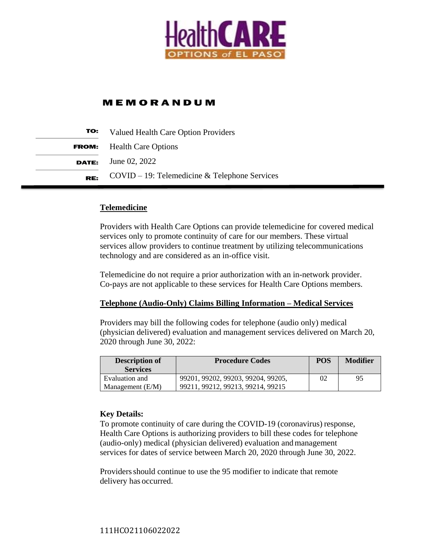

# **MEMORANDUM**

| TO: | <b>Valued Health Care Option Providers</b>       |  |  |
|-----|--------------------------------------------------|--|--|
|     | <b>FROM:</b> Health Care Options                 |  |  |
|     | <b>DATE:</b> June 02, 2022                       |  |  |
| RE: | $COVID - 19$ : Telemedicine & Telephone Services |  |  |

#### **Telemedicine**

Providers with Health Care Options can provide telemedicine for covered medical services only to promote continuity of care for our members. These virtual services allow providers to continue treatment by utilizing telecommunications technology and are considered as an in-office visit.

Telemedicine do not require a prior authorization with an in-network provider. Co-pays are not applicable to these services for Health Care Options members.

#### **Telephone (Audio-Only) Claims Billing Information – Medical Services**

Providers may bill the following codes for telephone (audio only) medical (physician delivered) evaluation and management services delivered on March 20, 2020 through June 30, 2022:

| <b>Description of</b><br><b>Services</b> | <b>Procedure Codes</b>                                                  | <b>POS</b> | <b>Modifier</b> |
|------------------------------------------|-------------------------------------------------------------------------|------------|-----------------|
| Evaluation and<br>Management $(E/M)$     | 99201, 99202, 99203, 99204, 99205,<br>99211, 99212, 99213, 99214, 99215 | 02         | 95              |

#### **Key Details:**

To promote continuity of care during the COVID-19 (coronavirus) response, Health Care Options is authorizing providers to bill these codes for telephone (audio-only) medical (physician delivered) evaluation andmanagement services for dates of service between March 20, 2020 through June 30, 2022.

Providers should continue to use the 95 modifier to indicate that remote delivery has occurred.